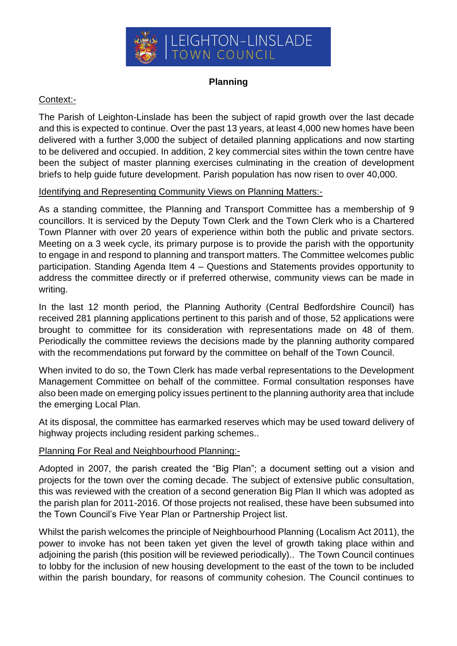

## **Planning**

## Context:-

The Parish of Leighton-Linslade has been the subject of rapid growth over the last decade and this is expected to continue. Over the past 13 years, at least 4,000 new homes have been delivered with a further 3,000 the subject of detailed planning applications and now starting to be delivered and occupied. In addition, 2 key commercial sites within the town centre have been the subject of master planning exercises culminating in the creation of development briefs to help guide future development. Parish population has now risen to over 40,000.

## Identifying and Representing Community Views on Planning Matters:-

As a standing committee, the Planning and Transport Committee has a membership of 9 councillors. It is serviced by the Deputy Town Clerk and the Town Clerk who is a Chartered Town Planner with over 20 years of experience within both the public and private sectors. Meeting on a 3 week cycle, its primary purpose is to provide the parish with the opportunity to engage in and respond to planning and transport matters. The Committee welcomes public participation. Standing Agenda Item 4 – Questions and Statements provides opportunity to address the committee directly or if preferred otherwise, community views can be made in writing.

In the last 12 month period, the Planning Authority (Central Bedfordshire Council) has received 281 planning applications pertinent to this parish and of those, 52 applications were brought to committee for its consideration with representations made on 48 of them. Periodically the committee reviews the decisions made by the planning authority compared with the recommendations put forward by the committee on behalf of the Town Council.

When invited to do so, the Town Clerk has made verbal representations to the Development Management Committee on behalf of the committee. Formal consultation responses have also been made on emerging policy issues pertinent to the planning authority area that include the emerging Local Plan.

At its disposal, the committee has earmarked reserves which may be used toward delivery of highway projects including resident parking schemes..

## Planning For Real and Neighbourhood Planning:-

Adopted in 2007, the parish created the "Big Plan"; a document setting out a vision and projects for the town over the coming decade. The subject of extensive public consultation, this was reviewed with the creation of a second generation Big Plan II which was adopted as the parish plan for 2011-2016. Of those projects not realised, these have been subsumed into the Town Council's Five Year Plan or Partnership Project list.

Whilst the parish welcomes the principle of Neighbourhood Planning (Localism Act 2011), the power to invoke has not been taken yet given the level of growth taking place within and adjoining the parish (this position will be reviewed periodically).. The Town Council continues to lobby for the inclusion of new housing development to the east of the town to be included within the parish boundary, for reasons of community cohesion. The Council continues to